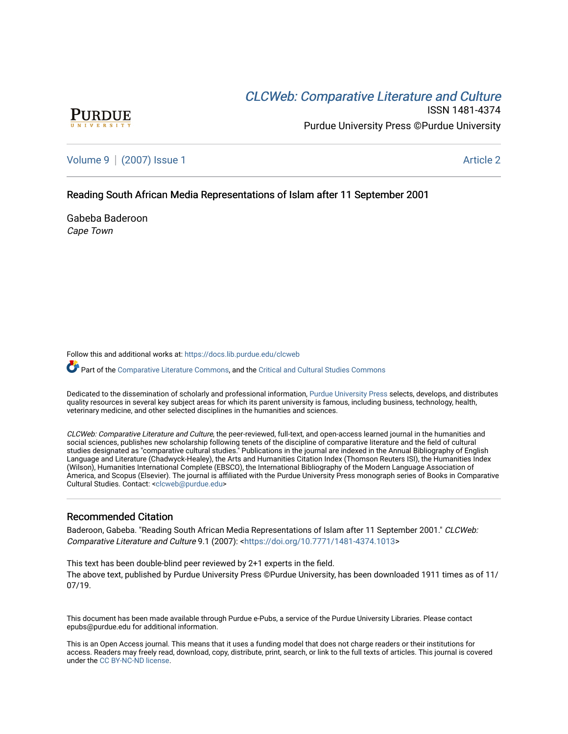# **CLCW[eb: Comparative Liter](https://docs.lib.purdue.edu/clcweb)ature and Culture**



ISSN 1481-4374 Purdue University Press ©Purdue University

[Volume 9](https://docs.lib.purdue.edu/clcweb/vol9) | [\(2007\) Issue 1](https://docs.lib.purdue.edu/clcweb/vol9/iss1) Article 2

# Reading South African Media Representations of Islam after 11 September 2001

Gabeba Baderoon Cape Town

Follow this and additional works at: [https://docs.lib.purdue.edu/clcweb](https://docs.lib.purdue.edu/clcweb?utm_source=docs.lib.purdue.edu%2Fclcweb%2Fvol9%2Fiss1%2F2&utm_medium=PDF&utm_campaign=PDFCoverPages)

Part of the [Comparative Literature Commons,](http://network.bepress.com/hgg/discipline/454?utm_source=docs.lib.purdue.edu%2Fclcweb%2Fvol9%2Fiss1%2F2&utm_medium=PDF&utm_campaign=PDFCoverPages) and the Critical and Cultural Studies Commons

Dedicated to the dissemination of scholarly and professional information, [Purdue University Press](http://www.thepress.purdue.edu/) selects, develops, and distributes quality resources in several key subject areas for which its parent university is famous, including business, technology, health, veterinary medicine, and other selected disciplines in the humanities and sciences.

CLCWeb: Comparative Literature and Culture, the peer-reviewed, full-text, and open-access learned journal in the humanities and social sciences, publishes new scholarship following tenets of the discipline of comparative literature and the field of cultural studies designated as "comparative cultural studies." Publications in the journal are indexed in the Annual Bibliography of English Language and Literature (Chadwyck-Healey), the Arts and Humanities Citation Index (Thomson Reuters ISI), the Humanities Index (Wilson), Humanities International Complete (EBSCO), the International Bibliography of the Modern Language Association of America, and Scopus (Elsevier). The journal is affiliated with the Purdue University Press monograph series of Books in Comparative Cultural Studies. Contact: [<clcweb@purdue.edu](mailto:clcweb@purdue.edu)>

# Recommended Citation

Baderoon, Gabeba. "Reading South African Media Representations of Islam after 11 September 2001." CLCWeb: Comparative Literature and Culture 9.1 (2007): <<https://doi.org/10.7771/1481-4374.1013>>

This text has been double-blind peer reviewed by 2+1 experts in the field. The above text, published by Purdue University Press ©Purdue University, has been downloaded 1911 times as of 11/ 07/19.

This document has been made available through Purdue e-Pubs, a service of the Purdue University Libraries. Please contact epubs@purdue.edu for additional information.

This is an Open Access journal. This means that it uses a funding model that does not charge readers or their institutions for access. Readers may freely read, download, copy, distribute, print, search, or link to the full texts of articles. This journal is covered under the [CC BY-NC-ND license.](https://creativecommons.org/licenses/by-nc-nd/4.0/)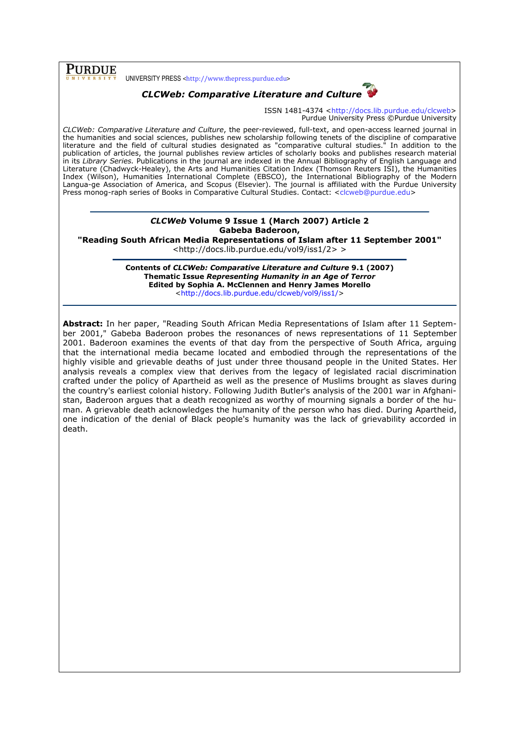# PURDUE

UNIVERSITY PRESS <http://www.thepress.purdue.edu>



ISSN 1481-4374 <http://docs.lib.purdue.edu/clcweb> Purdue University Press ©Purdue University

CLCWeb: Comparative Literature and Culture, the peer-reviewed, full-text, and open-access learned journal in the humanities and social sciences, publishes new scholarship following tenets of the discipline of comparative literature and the field of cultural studies designated as "comparative cultural studies." In addition to the publication of articles, the journal publishes review articles of scholarly books and publishes research material in its Library Series. Publications in the journal are indexed in the Annual Bibliography of English Language and Literature (Chadwyck-Healey), the Arts and Humanities Citation Index (Thomson Reuters ISI), the Humanities Index (Wilson), Humanities International Complete (EBSCO), the International Bibliography of the Modern Langua-ge Association of America, and Scopus (Elsevier). The journal is affiliated with the Purdue University Press monog-raph series of Books in Comparative Cultural Studies. Contact: <clcweb@purdue.edu>

# CLCWeb Volume 9 Issue 1 (March 2007) Article 2 Gabeba Baderoon,

"Reading South African Media Representations of Islam after 11 September 2001"

<http://docs.lib.purdue.edu/vol9/iss1/2> >

Contents of CLCWeb: Comparative Literature and Culture 9.1 (2007) Thematic Issue Representing Humanity in an Age of Terror Edited by Sophia A. McClennen and Henry James Morello <http://docs.lib.purdue.edu/clcweb/vol9/iss1/>

Abstract: In her paper, "Reading South African Media Representations of Islam after 11 September 2001," Gabeba Baderoon probes the resonances of news representations of 11 September 2001. Baderoon examines the events of that day from the perspective of South Africa, arguing that the international media became located and embodied through the representations of the highly visible and grievable deaths of just under three thousand people in the United States. Her analysis reveals a complex view that derives from the legacy of legislated racial discrimination crafted under the policy of Apartheid as well as the presence of Muslims brought as slaves during the country's earliest colonial history. Following Judith Butler's analysis of the 2001 war in Afghanistan, Baderoon argues that a death recognized as worthy of mourning signals a border of the human. A grievable death acknowledges the humanity of the person who has died. During Apartheid, one indication of the denial of Black people's humanity was the lack of grievability accorded in death.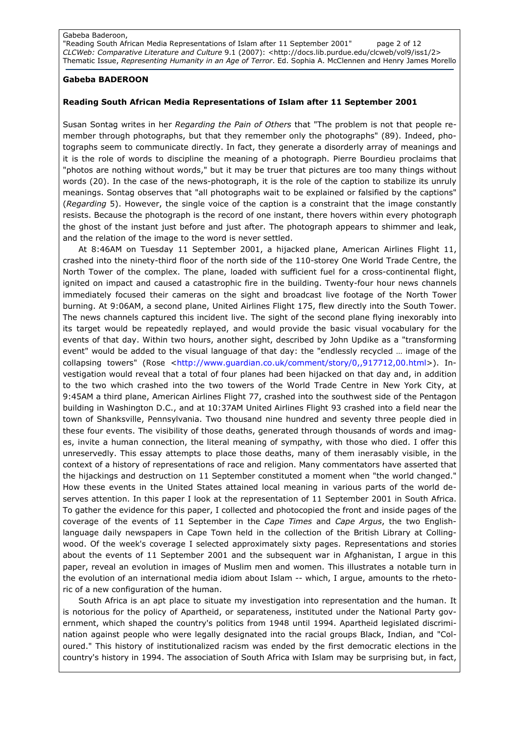"Reading South African Media Representations of Islam after 11 September 2001" page 2 of 12 CLCWeb: Comparative Literature and Culture 9.1 (2007): <http://docs.lib.purdue.edu/clcweb/vol9/iss1/2> Thematic Issue, Representing Humanity in an Age of Terror. Ed. Sophia A. McClennen and Henry James Morello

## Gabeba BADEROON

## Reading South African Media Representations of Islam after 11 September 2001

Susan Sontag writes in her Regarding the Pain of Others that "The problem is not that people remember through photographs, but that they remember only the photographs" (89). Indeed, photographs seem to communicate directly. In fact, they generate a disorderly array of meanings and it is the role of words to discipline the meaning of a photograph. Pierre Bourdieu proclaims that "photos are nothing without words," but it may be truer that pictures are too many things without words (20). In the case of the news-photograph, it is the role of the caption to stabilize its unruly meanings. Sontag observes that "all photographs wait to be explained or falsified by the captions" (Regarding 5). However, the single voice of the caption is a constraint that the image constantly resists. Because the photograph is the record of one instant, there hovers within every photograph the ghost of the instant just before and just after. The photograph appears to shimmer and leak, and the relation of the image to the word is never settled.

At 8:46AM on Tuesday 11 September 2001, a hijacked plane, American Airlines Flight 11, crashed into the ninety-third floor of the north side of the 110-storey One World Trade Centre, the North Tower of the complex. The plane, loaded with sufficient fuel for a cross-continental flight, ignited on impact and caused a catastrophic fire in the building. Twenty-four hour news channels immediately focused their cameras on the sight and broadcast live footage of the North Tower burning. At 9:06AM, a second plane, United Airlines Flight 175, flew directly into the South Tower. The news channels captured this incident live. The sight of the second plane flying inexorably into its target would be repeatedly replayed, and would provide the basic visual vocabulary for the events of that day. Within two hours, another sight, described by John Updike as a "transforming event" would be added to the visual language of that day: the "endlessly recycled … image of the collapsing towers" (Rose <http://www.guardian.co.uk/comment/story/0,,917712,00.html>). Investigation would reveal that a total of four planes had been hijacked on that day and, in addition to the two which crashed into the two towers of the World Trade Centre in New York City, at 9:45AM a third plane, American Airlines Flight 77, crashed into the southwest side of the Pentagon building in Washington D.C., and at 10:37AM United Airlines Flight 93 crashed into a field near the town of Shanksville, Pennsylvania. Two thousand nine hundred and seventy three people died in these four events. The visibility of those deaths, generated through thousands of words and images, invite a human connection, the literal meaning of sympathy, with those who died. I offer this unreservedly. This essay attempts to place those deaths, many of them inerasably visible, in the context of a history of representations of race and religion. Many commentators have asserted that the hijackings and destruction on 11 September constituted a moment when "the world changed." How these events in the United States attained local meaning in various parts of the world deserves attention. In this paper I look at the representation of 11 September 2001 in South Africa. To gather the evidence for this paper, I collected and photocopied the front and inside pages of the coverage of the events of 11 September in the Cape Times and Cape Argus, the two Englishlanguage daily newspapers in Cape Town held in the collection of the British Library at Collingwood. Of the week's coverage I selected approximately sixty pages. Representations and stories about the events of 11 September 2001 and the subsequent war in Afghanistan, I argue in this paper, reveal an evolution in images of Muslim men and women. This illustrates a notable turn in the evolution of an international media idiom about Islam -- which, I argue, amounts to the rhetoric of a new configuration of the human.

South Africa is an apt place to situate my investigation into representation and the human. It is notorious for the policy of Apartheid, or separateness, instituted under the National Party government, which shaped the country's politics from 1948 until 1994. Apartheid legislated discrimination against people who were legally designated into the racial groups Black, Indian, and "Coloured." This history of institutionalized racism was ended by the first democratic elections in the country's history in 1994. The association of South Africa with Islam may be surprising but, in fact,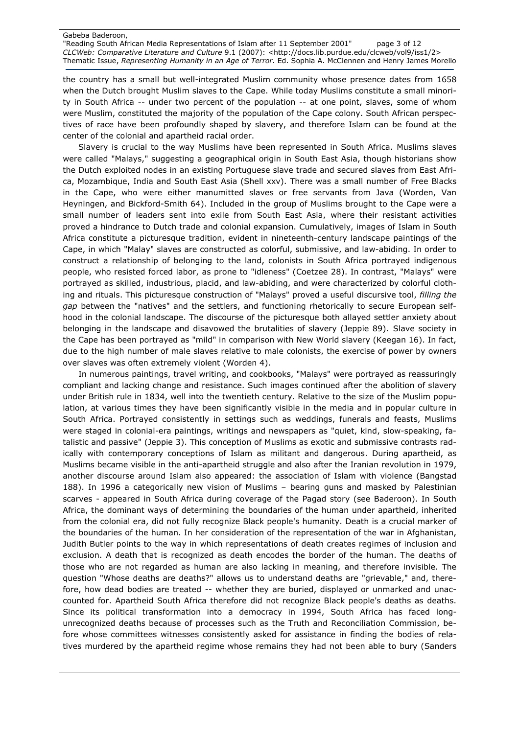"Reading South African Media Representations of Islam after 11 September 2001" page 3 of 12 CLCWeb: Comparative Literature and Culture 9.1 (2007): <http://docs.lib.purdue.edu/clcweb/vol9/iss1/2> Thematic Issue, Representing Humanity in an Age of Terror. Ed. Sophia A. McClennen and Henry James Morello

the country has a small but well-integrated Muslim community whose presence dates from 1658 when the Dutch brought Muslim slaves to the Cape. While today Muslims constitute a small minority in South Africa -- under two percent of the population -- at one point, slaves, some of whom were Muslim, constituted the majority of the population of the Cape colony. South African perspectives of race have been profoundly shaped by slavery, and therefore Islam can be found at the center of the colonial and apartheid racial order.

Slavery is crucial to the way Muslims have been represented in South Africa. Muslims slaves were called "Malays," suggesting a geographical origin in South East Asia, though historians show the Dutch exploited nodes in an existing Portuguese slave trade and secured slaves from East Africa, Mozambique, India and South East Asia (Shell xxv). There was a small number of Free Blacks in the Cape, who were either manumitted slaves or free servants from Java (Worden, Van Heyningen, and Bickford-Smith 64). Included in the group of Muslims brought to the Cape were a small number of leaders sent into exile from South East Asia, where their resistant activities proved a hindrance to Dutch trade and colonial expansion. Cumulatively, images of Islam in South Africa constitute a picturesque tradition, evident in nineteenth-century landscape paintings of the Cape, in which "Malay" slaves are constructed as colorful, submissive, and law-abiding. In order to construct a relationship of belonging to the land, colonists in South Africa portrayed indigenous people, who resisted forced labor, as prone to "idleness" (Coetzee 28). In contrast, "Malays" were portrayed as skilled, industrious, placid, and law-abiding, and were characterized by colorful clothing and rituals. This picturesque construction of "Malays" proved a useful discursive tool, filling the gap between the "natives" and the settlers, and functioning rhetorically to secure European selfhood in the colonial landscape. The discourse of the picturesque both allayed settler anxiety about belonging in the landscape and disavowed the brutalities of slavery (Jeppie 89). Slave society in the Cape has been portrayed as "mild" in comparison with New World slavery (Keegan 16). In fact, due to the high number of male slaves relative to male colonists, the exercise of power by owners over slaves was often extremely violent (Worden 4).

In numerous paintings, travel writing, and cookbooks, "Malays" were portrayed as reassuringly compliant and lacking change and resistance. Such images continued after the abolition of slavery under British rule in 1834, well into the twentieth century. Relative to the size of the Muslim population, at various times they have been significantly visible in the media and in popular culture in South Africa. Portrayed consistently in settings such as weddings, funerals and feasts, Muslims were staged in colonial-era paintings, writings and newspapers as "quiet, kind, slow-speaking, fatalistic and passive" (Jeppie 3). This conception of Muslims as exotic and submissive contrasts radically with contemporary conceptions of Islam as militant and dangerous. During apartheid, as Muslims became visible in the anti-apartheid struggle and also after the Iranian revolution in 1979, another discourse around Islam also appeared: the association of Islam with violence (Bangstad 188). In 1996 a categorically new vision of Muslims – bearing guns and masked by Palestinian scarves - appeared in South Africa during coverage of the Pagad story (see Baderoon). In South Africa, the dominant ways of determining the boundaries of the human under apartheid, inherited from the colonial era, did not fully recognize Black people's humanity. Death is a crucial marker of the boundaries of the human. In her consideration of the representation of the war in Afghanistan, Judith Butler points to the way in which representations of death creates regimes of inclusion and exclusion. A death that is recognized as death encodes the border of the human. The deaths of those who are not regarded as human are also lacking in meaning, and therefore invisible. The question "Whose deaths are deaths?" allows us to understand deaths are "grievable," and, therefore, how dead bodies are treated -- whether they are buried, displayed or unmarked and unaccounted for. Apartheid South Africa therefore did not recognize Black people's deaths as deaths. Since its political transformation into a democracy in 1994, South Africa has faced longunrecognized deaths because of processes such as the Truth and Reconciliation Commission, before whose committees witnesses consistently asked for assistance in finding the bodies of relatives murdered by the apartheid regime whose remains they had not been able to bury (Sanders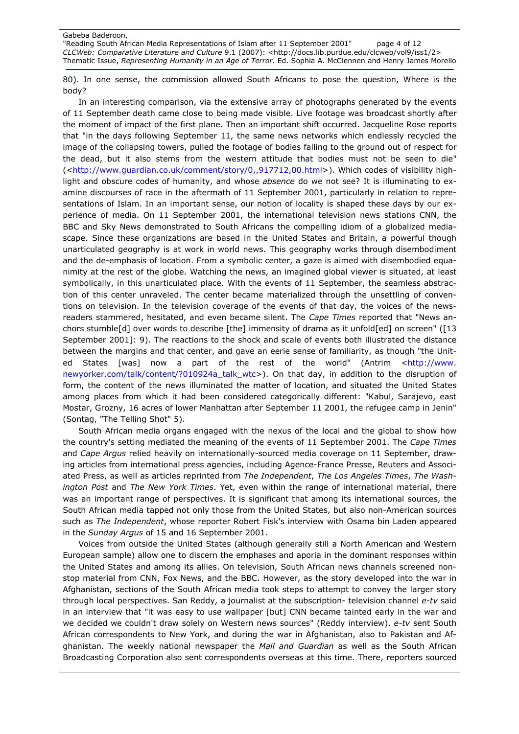"Reading South African Media Representations of Islam after 11 September 2001" page 4 of 12 CLCWeb: Comparative Literature and Culture 9.1 (2007): <http://docs.lib.purdue.edu/clcweb/vol9/iss1/2> Thematic Issue, Representing Humanity in an Age of Terror. Ed. Sophia A. McClennen and Henry James Morello

80). In one sense, the commission allowed South Africans to pose the question, Where is the body?

In an interesting comparison, via the extensive array of photographs generated by the events of 11 September death came close to being made visible. Live footage was broadcast shortly after the moment of impact of the first plane. Then an important shift occurred. Jacqueline Rose reports that "in the days following September 11, the same news networks which endlessly recycled the image of the collapsing towers, pulled the footage of bodies falling to the ground out of respect for the dead, but it also stems from the western attitude that bodies must not be seen to die" (<http://www.guardian.co.uk/comment/story/0,,917712,00.html>). Which codes of visibility highlight and obscure codes of humanity, and whose absence do we not see? It is illuminating to examine discourses of race in the aftermath of 11 September 2001, particularly in relation to representations of Islam. In an important sense, our notion of locality is shaped these days by our experience of media. On 11 September 2001, the international television news stations CNN, the BBC and Sky News demonstrated to South Africans the compelling idiom of a globalized mediascape. Since these organizations are based in the United States and Britain, a powerful though unarticulated geography is at work in world news. This geography works through disembodiment and the de-emphasis of location. From a symbolic center, a gaze is aimed with disembodied equanimity at the rest of the globe. Watching the news, an imagined global viewer is situated, at least symbolically, in this unarticulated place. With the events of 11 September, the seamless abstraction of this center unraveled. The center became materialized through the unsettling of conventions on television. In the television coverage of the events of that day, the voices of the newsreaders stammered, hesitated, and even became silent. The Cape Times reported that "News anchors stumble[d] over words to describe [the] immensity of drama as it unfold[ed] on screen" ([13 September 2001]: 9). The reactions to the shock and scale of events both illustrated the distance between the margins and that center, and gave an eerie sense of familiarity, as though "the United States [was] now a part of the rest of the world" (Antrim <http://www. newyorker.com/talk/content/?010924a\_talk\_wtc>). On that day, in addition to the disruption of form, the content of the news illuminated the matter of location, and situated the United States among places from which it had been considered categorically different: "Kabul, Sarajevo, east Mostar, Grozny, 16 acres of lower Manhattan after September 11 2001, the refugee camp in Jenin" (Sontag, "The Telling Shot" 5).

South African media organs engaged with the nexus of the local and the global to show how the country's setting mediated the meaning of the events of 11 September 2001. The Cape Times and Cape Argus relied heavily on internationally-sourced media coverage on 11 September, drawing articles from international press agencies, including Agence-France Presse, Reuters and Associated Press, as well as articles reprinted from The Independent, The Los Angeles Times, The Washington Post and The New York Times. Yet, even within the range of international material, there was an important range of perspectives. It is significant that among its international sources, the South African media tapped not only those from the United States, but also non-American sources such as The Independent, whose reporter Robert Fisk's interview with Osama bin Laden appeared in the Sunday Argus of 15 and 16 September 2001.

Voices from outside the United States (although generally still a North American and Western European sample) allow one to discern the emphases and aporia in the dominant responses within the United States and among its allies. On television, South African news channels screened nonstop material from CNN, Fox News, and the BBC. However, as the story developed into the war in Afghanistan, sections of the South African media took steps to attempt to convey the larger story through local perspectives. San Reddy, a journalist at the subscription- television channel e-tv said in an interview that "it was easy to use wallpaper [but] CNN became tainted early in the war and we decided we couldn't draw solely on Western news sources" (Reddy interview). e-tv sent South African correspondents to New York, and during the war in Afghanistan, also to Pakistan and Afghanistan. The weekly national newspaper the Mail and Guardian as well as the South African Broadcasting Corporation also sent correspondents overseas at this time. There, reporters sourced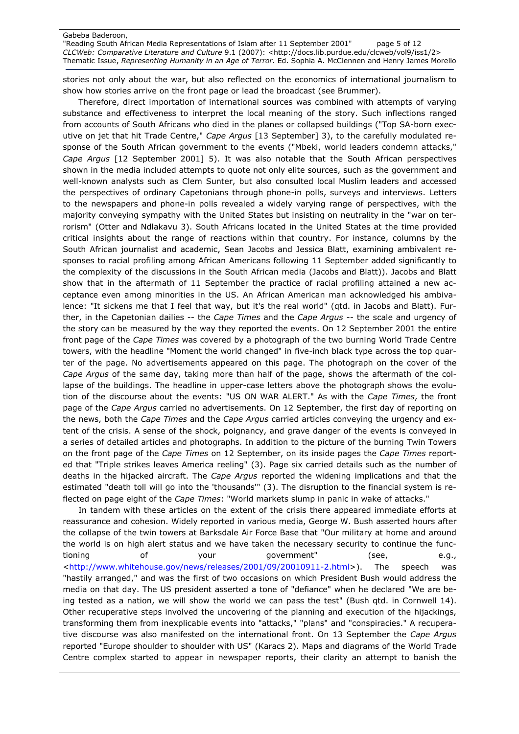"Reading South African Media Representations of Islam after 11 September 2001" page 5 of 12 CLCWeb: Comparative Literature and Culture 9.1 (2007): <http://docs.lib.purdue.edu/clcweb/vol9/iss1/2> Thematic Issue, Representing Humanity in an Age of Terror. Ed. Sophia A. McClennen and Henry James Morello

stories not only about the war, but also reflected on the economics of international journalism to show how stories arrive on the front page or lead the broadcast (see Brummer).

Therefore, direct importation of international sources was combined with attempts of varying substance and effectiveness to interpret the local meaning of the story. Such inflections ranged from accounts of South Africans who died in the planes or collapsed buildings ("Top SA-born executive on jet that hit Trade Centre," Cape Argus [13 September] 3), to the carefully modulated response of the South African government to the events ("Mbeki, world leaders condemn attacks," Cape Argus [12 September 2001] 5). It was also notable that the South African perspectives shown in the media included attempts to quote not only elite sources, such as the government and well-known analysts such as Clem Sunter, but also consulted local Muslim leaders and accessed the perspectives of ordinary Capetonians through phone-in polls, surveys and interviews. Letters to the newspapers and phone-in polls revealed a widely varying range of perspectives, with the majority conveying sympathy with the United States but insisting on neutrality in the "war on terrorism" (Otter and Ndlakavu 3). South Africans located in the United States at the time provided critical insights about the range of reactions within that country. For instance, columns by the South African journalist and academic, Sean Jacobs and Jessica Blatt, examining ambivalent responses to racial profiling among African Americans following 11 September added significantly to the complexity of the discussions in the South African media (Jacobs and Blatt)). Jacobs and Blatt show that in the aftermath of 11 September the practice of racial profiling attained a new acceptance even among minorities in the US. An African American man acknowledged his ambivalence: "It sickens me that I feel that way, but it's the real world" (qtd. in Jacobs and Blatt). Further, in the Capetonian dailies -- the *Cape Times* and the *Cape Argus* -- the scale and urgency of the story can be measured by the way they reported the events. On 12 September 2001 the entire front page of the Cape Times was covered by a photograph of the two burning World Trade Centre towers, with the headline "Moment the world changed" in five-inch black type across the top quarter of the page. No advertisements appeared on this page. The photograph on the cover of the Cape Argus of the same day, taking more than half of the page, shows the aftermath of the collapse of the buildings. The headline in upper-case letters above the photograph shows the evolution of the discourse about the events: "US ON WAR ALERT." As with the Cape Times, the front page of the Cape Argus carried no advertisements. On 12 September, the first day of reporting on the news, both the Cape Times and the Cape Argus carried articles conveying the urgency and extent of the crisis. A sense of the shock, poignancy, and grave danger of the events is conveyed in a series of detailed articles and photographs. In addition to the picture of the burning Twin Towers on the front page of the Cape Times on 12 September, on its inside pages the Cape Times reported that "Triple strikes leaves America reeling" (3). Page six carried details such as the number of deaths in the hijacked aircraft. The Cape Argus reported the widening implications and that the estimated "death toll will go into the 'thousands'" (3). The disruption to the financial system is reflected on page eight of the *Cape Times*: "World markets slump in panic in wake of attacks."

In tandem with these articles on the extent of the crisis there appeared immediate efforts at reassurance and cohesion. Widely reported in various media, George W. Bush asserted hours after the collapse of the twin towers at Barksdale Air Force Base that "Our military at home and around the world is on high alert status and we have taken the necessary security to continue the functioning of your government" (see, e.g., <http://www.whitehouse.gov/news/releases/2001/09/20010911-2.html>). The speech was "hastily arranged," and was the first of two occasions on which President Bush would address the media on that day. The US president asserted a tone of "defiance" when he declared "We are being tested as a nation, we will show the world we can pass the test" (Bush qtd. in Cornwell 14). Other recuperative steps involved the uncovering of the planning and execution of the hijackings, transforming them from inexplicable events into "attacks," "plans" and "conspiracies." A recuperative discourse was also manifested on the international front. On 13 September the Cape Argus reported "Europe shoulder to shoulder with US" (Karacs 2). Maps and diagrams of the World Trade Centre complex started to appear in newspaper reports, their clarity an attempt to banish the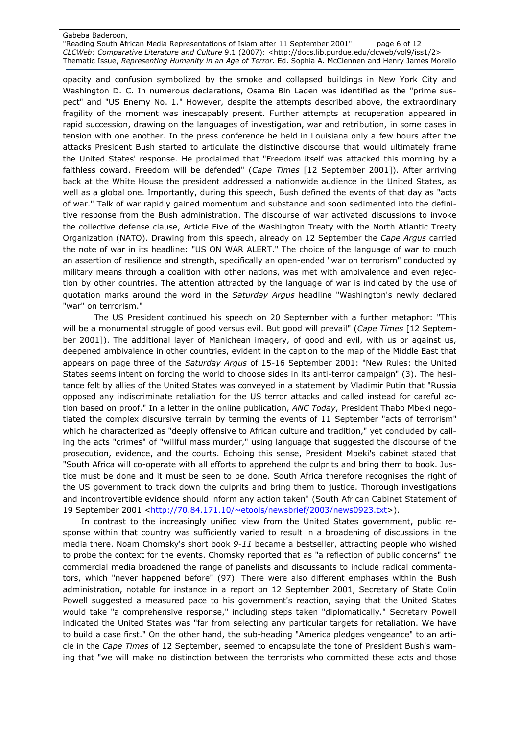"Reading South African Media Representations of Islam after 11 September 2001" page 6 of 12 CLCWeb: Comparative Literature and Culture 9.1 (2007): <http://docs.lib.purdue.edu/clcweb/vol9/iss1/2> Thematic Issue, Representing Humanity in an Age of Terror. Ed. Sophia A. McClennen and Henry James Morello

opacity and confusion symbolized by the smoke and collapsed buildings in New York City and Washington D. C. In numerous declarations, Osama Bin Laden was identified as the "prime suspect" and "US Enemy No. 1." However, despite the attempts described above, the extraordinary fragility of the moment was inescapably present. Further attempts at recuperation appeared in rapid succession, drawing on the languages of investigation, war and retribution, in some cases in tension with one another. In the press conference he held in Louisiana only a few hours after the attacks President Bush started to articulate the distinctive discourse that would ultimately frame the United States' response. He proclaimed that "Freedom itself was attacked this morning by a faithless coward. Freedom will be defended" (Cape Times [12 September 2001]). After arriving back at the White House the president addressed a nationwide audience in the United States, as well as a global one. Importantly, during this speech, Bush defined the events of that day as "acts of war." Talk of war rapidly gained momentum and substance and soon sedimented into the definitive response from the Bush administration. The discourse of war activated discussions to invoke the collective defense clause, Article Five of the Washington Treaty with the North Atlantic Treaty Organization (NATO). Drawing from this speech, already on 12 September the Cape Argus carried the note of war in its headline: "US ON WAR ALERT." The choice of the language of war to couch an assertion of resilience and strength, specifically an open-ended "war on terrorism" conducted by military means through a coalition with other nations, was met with ambivalence and even rejection by other countries. The attention attracted by the language of war is indicated by the use of quotation marks around the word in the Saturday Argus headline "Washington's newly declared "war" on terrorism."

 The US President continued his speech on 20 September with a further metaphor: "This will be a monumental struggle of good versus evil. But good will prevail" (Cape Times [12 September 2001]). The additional layer of Manichean imagery, of good and evil, with us or against us, deepened ambivalence in other countries, evident in the caption to the map of the Middle East that appears on page three of the Saturday Argus of 15-16 September 2001: "New Rules: the United States seems intent on forcing the world to choose sides in its anti-terror campaign" (3). The hesitance felt by allies of the United States was conveyed in a statement by Vladimir Putin that "Russia opposed any indiscriminate retaliation for the US terror attacks and called instead for careful action based on proof." In a letter in the online publication, ANC Today, President Thabo Mbeki negotiated the complex discursive terrain by terming the events of 11 September "acts of terrorism" which he characterized as "deeply offensive to African culture and tradition," yet concluded by calling the acts "crimes" of "willful mass murder," using language that suggested the discourse of the prosecution, evidence, and the courts. Echoing this sense, President Mbeki's cabinet stated that "South Africa will co-operate with all efforts to apprehend the culprits and bring them to book. Justice must be done and it must be seen to be done. South Africa therefore recognises the right of the US government to track down the culprits and bring them to justice. Thorough investigations and incontrovertible evidence should inform any action taken" (South African Cabinet Statement of 19 September 2001 <http://70.84.171.10/~etools/newsbrief/2003/news0923.txt>).

 In contrast to the increasingly unified view from the United States government, public response within that country was sufficiently varied to result in a broadening of discussions in the media there. Noam Chomsky's short book 9-11 became a bestseller, attracting people who wished to probe the context for the events. Chomsky reported that as "a reflection of public concerns" the commercial media broadened the range of panelists and discussants to include radical commentators, which "never happened before" (97). There were also different emphases within the Bush administration, notable for instance in a report on 12 September 2001, Secretary of State Colin Powell suggested a measured pace to his government's reaction, saying that the United States would take "a comprehensive response," including steps taken "diplomatically." Secretary Powell indicated the United States was "far from selecting any particular targets for retaliation. We have to build a case first." On the other hand, the sub-heading "America pledges vengeance" to an article in the Cape Times of 12 September, seemed to encapsulate the tone of President Bush's warning that "we will make no distinction between the terrorists who committed these acts and those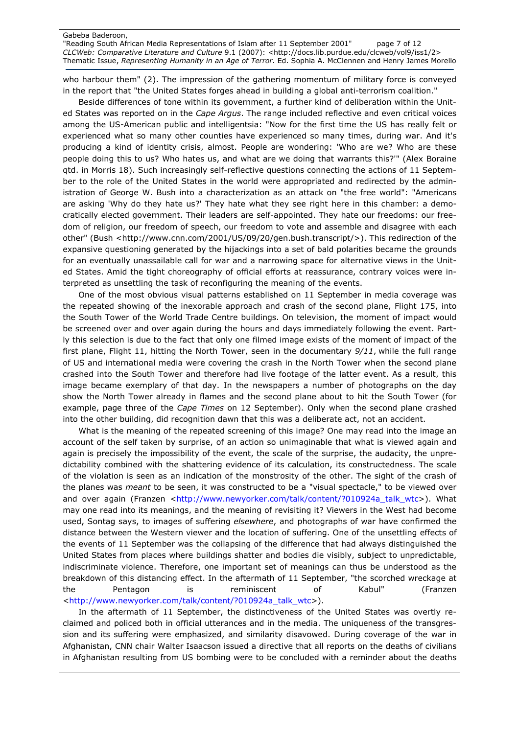"Reading South African Media Representations of Islam after 11 September 2001" page 7 of 12 CLCWeb: Comparative Literature and Culture 9.1 (2007): <http://docs.lib.purdue.edu/clcweb/vol9/iss1/2> Thematic Issue, Representing Humanity in an Age of Terror. Ed. Sophia A. McClennen and Henry James Morello

who harbour them" (2). The impression of the gathering momentum of military force is conveyed in the report that "the United States forges ahead in building a global anti-terrorism coalition."

Beside differences of tone within its government, a further kind of deliberation within the United States was reported on in the Cape Argus. The range included reflective and even critical voices among the US-American public and intelligentsia: "Now for the first time the US has really felt or experienced what so many other counties have experienced so many times, during war. And it's producing a kind of identity crisis, almost. People are wondering: 'Who are we? Who are these people doing this to us? Who hates us, and what are we doing that warrants this?'" (Alex Boraine qtd. in Morris 18). Such increasingly self-reflective questions connecting the actions of 11 September to the role of the United States in the world were appropriated and redirected by the administration of George W. Bush into a characterization as an attack on "the free world": "Americans are asking 'Why do they hate us?' They hate what they see right here in this chamber: a democratically elected government. Their leaders are self-appointed. They hate our freedoms: our freedom of religion, our freedom of speech, our freedom to vote and assemble and disagree with each other" (Bush <http://www.cnn.com/2001/US/09/20/gen.bush.transcript/>). This redirection of the expansive questioning generated by the hijackings into a set of bald polarities became the grounds for an eventually unassailable call for war and a narrowing space for alternative views in the United States. Amid the tight choreography of official efforts at reassurance, contrary voices were interpreted as unsettling the task of reconfiguring the meaning of the events.

One of the most obvious visual patterns established on 11 September in media coverage was the repeated showing of the inexorable approach and crash of the second plane, Flight 175, into the South Tower of the World Trade Centre buildings. On television, the moment of impact would be screened over and over again during the hours and days immediately following the event. Partly this selection is due to the fact that only one filmed image exists of the moment of impact of the first plane, Flight 11, hitting the North Tower, seen in the documentary 9/11, while the full range of US and international media were covering the crash in the North Tower when the second plane crashed into the South Tower and therefore had live footage of the latter event. As a result, this image became exemplary of that day. In the newspapers a number of photographs on the day show the North Tower already in flames and the second plane about to hit the South Tower (for example, page three of the *Cape Times* on 12 September). Only when the second plane crashed into the other building, did recognition dawn that this was a deliberate act, not an accident.

What is the meaning of the repeated screening of this image? One may read into the image an account of the self taken by surprise, of an action so unimaginable that what is viewed again and again is precisely the impossibility of the event, the scale of the surprise, the audacity, the unpredictability combined with the shattering evidence of its calculation, its constructedness. The scale of the violation is seen as an indication of the monstrosity of the other. The sight of the crash of the planes was *meant* to be seen, it was constructed to be a "visual spectacle," to be viewed over and over again (Franzen <http://www.newyorker.com/talk/content/?010924a\_talk\_wtc>). What may one read into its meanings, and the meaning of revisiting it? Viewers in the West had become used, Sontag says, to images of suffering *elsewhere*, and photographs of war have confirmed the distance between the Western viewer and the location of suffering. One of the unsettling effects of the events of 11 September was the collapsing of the difference that had always distinguished the United States from places where buildings shatter and bodies die visibly, subject to unpredictable, indiscriminate violence. Therefore, one important set of meanings can thus be understood as the breakdown of this distancing effect. In the aftermath of 11 September, "the scorched wreckage at the Pentagon is reminiscent of Kabul" (Franzen <http://www.newyorker.com/talk/content/?010924a\_talk\_wtc>).

In the aftermath of 11 September, the distinctiveness of the United States was overtly reclaimed and policed both in official utterances and in the media. The uniqueness of the transgression and its suffering were emphasized, and similarity disavowed. During coverage of the war in Afghanistan, CNN chair Walter Isaacson issued a directive that all reports on the deaths of civilians in Afghanistan resulting from US bombing were to be concluded with a reminder about the deaths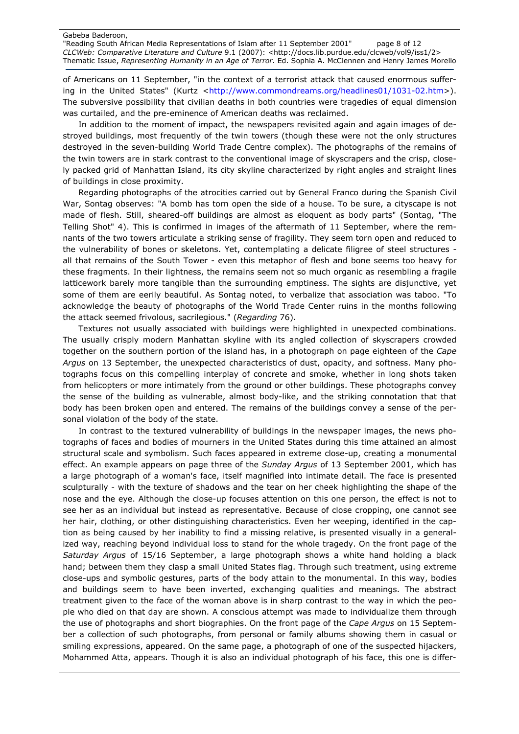"Reading South African Media Representations of Islam after 11 September 2001" page 8 of 12 CLCWeb: Comparative Literature and Culture 9.1 (2007): <http://docs.lib.purdue.edu/clcweb/vol9/iss1/2> Thematic Issue, Representing Humanity in an Age of Terror. Ed. Sophia A. McClennen and Henry James Morello

of Americans on 11 September, "in the context of a terrorist attack that caused enormous suffering in the United States" (Kurtz <http://www.commondreams.org/headlines01/1031-02.htm>). The subversive possibility that civilian deaths in both countries were tragedies of equal dimension was curtailed, and the pre-eminence of American deaths was reclaimed.

In addition to the moment of impact, the newspapers revisited again and again images of destroyed buildings, most frequently of the twin towers (though these were not the only structures destroyed in the seven-building World Trade Centre complex). The photographs of the remains of the twin towers are in stark contrast to the conventional image of skyscrapers and the crisp, closely packed grid of Manhattan Island, its city skyline characterized by right angles and straight lines of buildings in close proximity.

Regarding photographs of the atrocities carried out by General Franco during the Spanish Civil War, Sontag observes: "A bomb has torn open the side of a house. To be sure, a cityscape is not made of flesh. Still, sheared-off buildings are almost as eloquent as body parts" (Sontag, "The Telling Shot" 4). This is confirmed in images of the aftermath of 11 September, where the remnants of the two towers articulate a striking sense of fragility. They seem torn open and reduced to the vulnerability of bones or skeletons. Yet, contemplating a delicate filigree of steel structures all that remains of the South Tower - even this metaphor of flesh and bone seems too heavy for these fragments. In their lightness, the remains seem not so much organic as resembling a fragile latticework barely more tangible than the surrounding emptiness. The sights are disjunctive, yet some of them are eerily beautiful. As Sontag noted, to verbalize that association was taboo. "To acknowledge the beauty of photographs of the World Trade Center ruins in the months following the attack seemed frivolous, sacrilegious." (Regarding 76).

Textures not usually associated with buildings were highlighted in unexpected combinations. The usually crisply modern Manhattan skyline with its angled collection of skyscrapers crowded together on the southern portion of the island has, in a photograph on page eighteen of the Cape Argus on 13 September, the unexpected characteristics of dust, opacity, and softness. Many photographs focus on this compelling interplay of concrete and smoke, whether in long shots taken from helicopters or more intimately from the ground or other buildings. These photographs convey the sense of the building as vulnerable, almost body-like, and the striking connotation that that body has been broken open and entered. The remains of the buildings convey a sense of the personal violation of the body of the state.

In contrast to the textured vulnerability of buildings in the newspaper images, the news photographs of faces and bodies of mourners in the United States during this time attained an almost structural scale and symbolism. Such faces appeared in extreme close-up, creating a monumental effect. An example appears on page three of the Sunday Argus of 13 September 2001, which has a large photograph of a woman's face, itself magnified into intimate detail. The face is presented sculpturally - with the texture of shadows and the tear on her cheek highlighting the shape of the nose and the eye. Although the close-up focuses attention on this one person, the effect is not to see her as an individual but instead as representative. Because of close cropping, one cannot see her hair, clothing, or other distinguishing characteristics. Even her weeping, identified in the caption as being caused by her inability to find a missing relative, is presented visually in a generalized way, reaching beyond individual loss to stand for the whole tragedy. On the front page of the Saturday Argus of 15/16 September, a large photograph shows a white hand holding a black hand; between them they clasp a small United States flag. Through such treatment, using extreme close-ups and symbolic gestures, parts of the body attain to the monumental. In this way, bodies and buildings seem to have been inverted, exchanging qualities and meanings. The abstract treatment given to the face of the woman above is in sharp contrast to the way in which the people who died on that day are shown. A conscious attempt was made to individualize them through the use of photographs and short biographies. On the front page of the Cape Argus on 15 September a collection of such photographs, from personal or family albums showing them in casual or smiling expressions, appeared. On the same page, a photograph of one of the suspected hijackers, Mohammed Atta, appears. Though it is also an individual photograph of his face, this one is differ-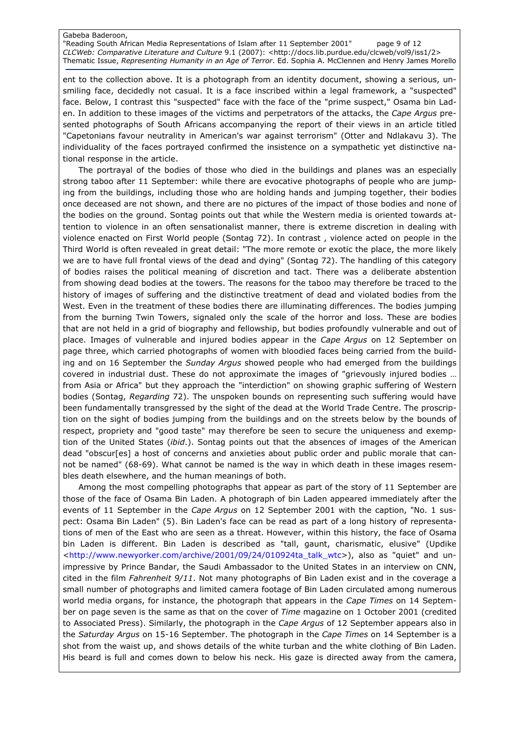"Reading South African Media Representations of Islam after 11 September 2001" page 9 of 12 CLCWeb: Comparative Literature and Culture 9.1 (2007): <http://docs.lib.purdue.edu/clcweb/vol9/iss1/2> Thematic Issue, Representing Humanity in an Age of Terror. Ed. Sophia A. McClennen and Henry James Morello

ent to the collection above. It is a photograph from an identity document, showing a serious, unsmiling face, decidedly not casual. It is a face inscribed within a legal framework, a "suspected" face. Below, I contrast this "suspected" face with the face of the "prime suspect," Osama bin Laden. In addition to these images of the victims and perpetrators of the attacks, the Cape Argus presented photographs of South Africans accompanying the report of their views in an article titled "Capetonians favour neutrality in American's war against terrorism" (Otter and Ndlakavu 3). The individuality of the faces portrayed confirmed the insistence on a sympathetic yet distinctive national response in the article.

The portrayal of the bodies of those who died in the buildings and planes was an especially strong taboo after 11 September: while there are evocative photographs of people who are jumping from the buildings, including those who are holding hands and jumping together, their bodies once deceased are not shown, and there are no pictures of the impact of those bodies and none of the bodies on the ground. Sontag points out that while the Western media is oriented towards attention to violence in an often sensationalist manner, there is extreme discretion in dealing with violence enacted on First World people (Sontag 72). In contrast , violence acted on people in the Third World is often revealed in great detail: "The more remote or exotic the place, the more likely we are to have full frontal views of the dead and dying" (Sontag 72). The handling of this category of bodies raises the political meaning of discretion and tact. There was a deliberate abstention from showing dead bodies at the towers. The reasons for the taboo may therefore be traced to the history of images of suffering and the distinctive treatment of dead and violated bodies from the West. Even in the treatment of these bodies there are illuminating differences. The bodies jumping from the burning Twin Towers, signaled only the scale of the horror and loss. These are bodies that are not held in a grid of biography and fellowship, but bodies profoundly vulnerable and out of place. Images of vulnerable and injured bodies appear in the Cape Argus on 12 September on page three, which carried photographs of women with bloodied faces being carried from the building and on 16 September the Sunday Argus showed people who had emerged from the buildings covered in industrial dust. These do not approximate the images of "grievously injured bodies … from Asia or Africa" but they approach the "interdiction" on showing graphic suffering of Western bodies (Sontag, Regarding 72). The unspoken bounds on representing such suffering would have been fundamentally transgressed by the sight of the dead at the World Trade Centre. The proscription on the sight of bodies jumping from the buildings and on the streets below by the bounds of respect, propriety and "good taste" may therefore be seen to secure the uniqueness and exemption of the United States (ibid.). Sontag points out that the absences of images of the American dead "obscur[es] a host of concerns and anxieties about public order and public morale that cannot be named" (68-69). What cannot be named is the way in which death in these images resembles death elsewhere, and the human meanings of both.

Among the most compelling photographs that appear as part of the story of 11 September are those of the face of Osama Bin Laden. A photograph of bin Laden appeared immediately after the events of 11 September in the Cape Argus on 12 September 2001 with the caption, "No. 1 suspect: Osama Bin Laden" (5). Bin Laden's face can be read as part of a long history of representations of men of the East who are seen as a threat. However, within this history, the face of Osama bin Laden is different. Bin Laden is described as "tall, gaunt, charismatic, elusive" (Updike <http://www.newyorker.com/archive/2001/09/24/010924ta\_talk\_wtc>), also as "quiet" and unimpressive by Prince Bandar, the Saudi Ambassador to the United States in an interview on CNN, cited in the film Fahrenheit 9/11. Not many photographs of Bin Laden exist and in the coverage a small number of photographs and limited camera footage of Bin Laden circulated among numerous world media organs, for instance, the photograph that appears in the Cape Times on 14 September on page seven is the same as that on the cover of Time magazine on 1 October 2001 (credited to Associated Press). Similarly, the photograph in the Cape Argus of 12 September appears also in the Saturday Argus on 15-16 September. The photograph in the Cape Times on 14 September is a shot from the waist up, and shows details of the white turban and the white clothing of Bin Laden. His beard is full and comes down to below his neck. His gaze is directed away from the camera,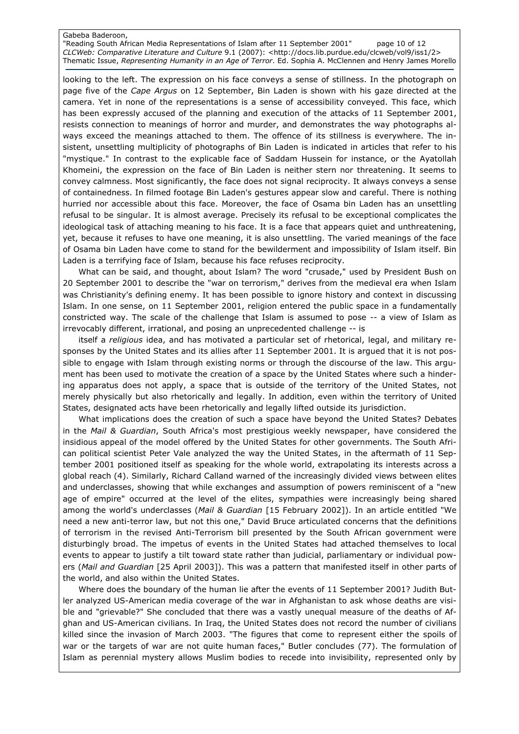"Reading South African Media Representations of Islam after 11 September 2001" page 10 of 12 CLCWeb: Comparative Literature and Culture 9.1 (2007): <http://docs.lib.purdue.edu/clcweb/vol9/iss1/2> Thematic Issue, Representing Humanity in an Age of Terror. Ed. Sophia A. McClennen and Henry James Morello

looking to the left. The expression on his face conveys a sense of stillness. In the photograph on page five of the Cape Argus on 12 September, Bin Laden is shown with his gaze directed at the camera. Yet in none of the representations is a sense of accessibility conveyed. This face, which has been expressly accused of the planning and execution of the attacks of 11 September 2001, resists connection to meanings of horror and murder, and demonstrates the way photographs always exceed the meanings attached to them. The offence of its stillness is everywhere. The insistent, unsettling multiplicity of photographs of Bin Laden is indicated in articles that refer to his "mystique." In contrast to the explicable face of Saddam Hussein for instance, or the Ayatollah Khomeini, the expression on the face of Bin Laden is neither stern nor threatening. It seems to convey calmness. Most significantly, the face does not signal reciprocity. It always conveys a sense of containedness. In filmed footage Bin Laden's gestures appear slow and careful. There is nothing hurried nor accessible about this face. Moreover, the face of Osama bin Laden has an unsettling refusal to be singular. It is almost average. Precisely its refusal to be exceptional complicates the ideological task of attaching meaning to his face. It is a face that appears quiet and unthreatening, yet, because it refuses to have one meaning, it is also unsettling. The varied meanings of the face of Osama bin Laden have come to stand for the bewilderment and impossibility of Islam itself. Bin Laden is a terrifying face of Islam, because his face refuses reciprocity.

What can be said, and thought, about Islam? The word "crusade," used by President Bush on 20 September 2001 to describe the "war on terrorism," derives from the medieval era when Islam was Christianity's defining enemy. It has been possible to ignore history and context in discussing Islam. In one sense, on 11 September 2001, religion entered the public space in a fundamentally constricted way. The scale of the challenge that Islam is assumed to pose -- a view of Islam as irrevocably different, irrational, and posing an unprecedented challenge -- is

itself a religious idea, and has motivated a particular set of rhetorical, legal, and military responses by the United States and its allies after 11 September 2001. It is argued that it is not possible to engage with Islam through existing norms or through the discourse of the law. This argument has been used to motivate the creation of a space by the United States where such a hindering apparatus does not apply, a space that is outside of the territory of the United States, not merely physically but also rhetorically and legally. In addition, even within the territory of United States, designated acts have been rhetorically and legally lifted outside its jurisdiction.

What implications does the creation of such a space have beyond the United States? Debates in the Mail & Guardian, South Africa's most prestigious weekly newspaper, have considered the insidious appeal of the model offered by the United States for other governments. The South African political scientist Peter Vale analyzed the way the United States, in the aftermath of 11 September 2001 positioned itself as speaking for the whole world, extrapolating its interests across a global reach (4). Similarly, Richard Calland warned of the increasingly divided views between elites and underclasses, showing that while exchanges and assumption of powers reminiscent of a "new age of empire" occurred at the level of the elites, sympathies were increasingly being shared among the world's underclasses (Mail & Guardian [15 February 2002]). In an article entitled "We need a new anti-terror law, but not this one," David Bruce articulated concerns that the definitions of terrorism in the revised Anti-Terrorism bill presented by the South African government were disturbingly broad. The impetus of events in the United States had attached themselves to local events to appear to justify a tilt toward state rather than judicial, parliamentary or individual powers (Mail and Guardian [25 April 2003]). This was a pattern that manifested itself in other parts of the world, and also within the United States.

Where does the boundary of the human lie after the events of 11 September 2001? Judith Butler analyzed US-American media coverage of the war in Afghanistan to ask whose deaths are visible and "grievable?" She concluded that there was a vastly unequal measure of the deaths of Afghan and US-American civilians. In Iraq, the United States does not record the number of civilians killed since the invasion of March 2003. "The figures that come to represent either the spoils of war or the targets of war are not quite human faces," Butler concludes (77). The formulation of Islam as perennial mystery allows Muslim bodies to recede into invisibility, represented only by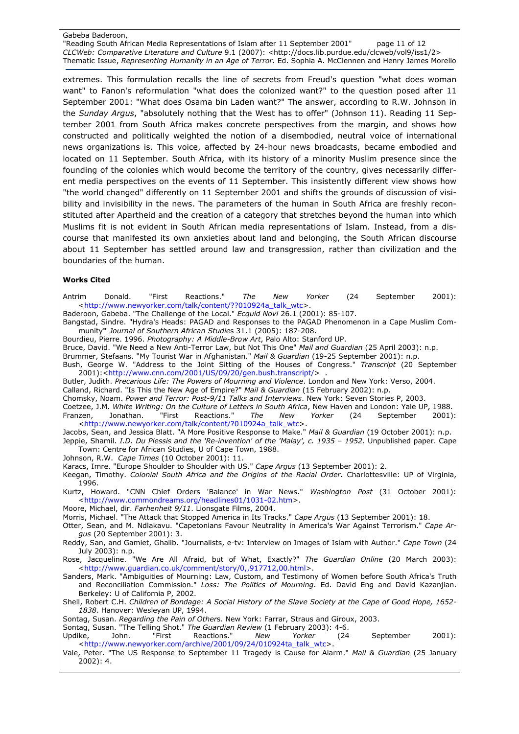"Reading South African Media Representations of Islam after 11 September 2001" page 11 of 12 CLCWeb: Comparative Literature and Culture 9.1 (2007): <http://docs.lib.purdue.edu/clcweb/vol9/iss1/2> Thematic Issue, Representing Humanity in an Age of Terror. Ed. Sophia A. McClennen and Henry James Morello

extremes. This formulation recalls the line of secrets from Freud's question "what does woman want" to Fanon's reformulation "what does the colonized want?" to the question posed after 11 September 2001: "What does Osama bin Laden want?" The answer, according to R.W. Johnson in the Sunday Argus, "absolutely nothing that the West has to offer" (Johnson 11). Reading 11 September 2001 from South Africa makes concrete perspectives from the margin, and shows how constructed and politically weighted the notion of a disembodied, neutral voice of international news organizations is. This voice, affected by 24-hour news broadcasts, became embodied and located on 11 September. South Africa, with its history of a minority Muslim presence since the founding of the colonies which would become the territory of the country, gives necessarily different media perspectives on the events of 11 September. This insistently different view shows how "the world changed" differently on 11 September 2001 and shifts the grounds of discussion of visibility and invisibility in the news. The parameters of the human in South Africa are freshly reconstituted after Apartheid and the creation of a category that stretches beyond the human into which Muslims fit is not evident in South African media representations of Islam. Instead, from a discourse that manifested its own anxieties about land and belonging, the South African discourse about 11 September has settled around law and transgression, rather than civilization and the boundaries of the human.

## Works Cited

Antrim Donald. "First Reactions." *The New Yorker* (24 September 2001): <http://www.newyorker.com/talk/content/??010924a\_talk\_wtc>.

Baderoon, Gabeba. "The Challenge of the Local." Ecquid Novi 26.1 (2001): 85-107.

Bangstad, Sindre. "Hydra's Heads: PAGAD and Responses to the PAGAD Phenomenon in a Cape Muslim Community" Journal of Southern African Studies 31.1 (2005): 187-208.

Bourdieu, Pierre. 1996. Photography: A Middle-Brow Art, Palo Alto: Stanford UP.

Bruce, David. "We Need a New Anti-Terror Law, but Not This One" Mail and Guardian (25 April 2003): n.p.

Brummer, Stefaans. "My Tourist War in Afghanistan." Mail & Guardian (19-25 September 2001): n.p.

Bush, George W. "Address to the Joint Sitting of the Houses of Congress." Transcript (20 September 2001):<http://www.cnn.com/2001/US/09/20/gen.bush.transcript/> .

Butler, Judith. Precarious Life: The Powers of Mourning and Violence. London and New York: Verso, 2004. Calland, Richard. "Is This the New Age of Empire?" Mail & Guardian (15 February 2002): n.p.

Chomsky, Noam. Power and Terror: Post-9/11 Talks and Interviews. New York: Seven Stories P, 2003.

Coetzee, J.M. White Writing: On the Culture of Letters in South Africa, New Haven and London: Yale UP, 1988. Franzen, Jonathan. "First Reactions." *The New Yorker* (24 September 2001): <http://www.newyorker.com/talk/content/?010924a\_talk\_wtc>.

Jacobs, Sean, and Jessica Blatt. "A More Positive Response to Make." Mail & Guardian (19 October 2001): n.p. Jeppie, Shamil. I.D. Du Plessis and the 'Re-invention' of the 'Malay', c. 1935 - 1952. Unpublished paper. Cape Town: Centre for African Studies, U of Cape Town, 1988.

Johnson, R.W. Cape Times (10 October 2001): 11.

Karacs, Imre. "Europe Shoulder to Shoulder with US." Cape Argus (13 September 2001): 2.

Keegan, Timothy. Colonial South Africa and the Origins of the Racial Order. Charlottesville: UP of Virginia, 1996.

Kurtz, Howard. "CNN Chief Orders 'Balance' in War News." Washington Post (31 October 2001): <http://www.commondreams.org/headlines01/1031-02.htm>.

Moore, Michael, dir. Farhenheit 9/11. Lionsgate Films, 2004.

Morris, Michael. "The Attack that Stopped America in Its Tracks." Cape Argus (13 September 2001): 18.

Otter, Sean, and M. Ndlakavu. "Capetonians Favour Neutrality in America's War Against Terrorism." Cape Argus (20 September 2001): 3.

Reddy, San, and Gamiet, Ghalib. "Journalists, e-tv: Interview on Images of Islam with Author." Cape Town (24 July 2003): n.p.

Rose, Jacqueline. "We Are All Afraid, but of What, Exactly?" The Guardian Online (20 March 2003): <http://www.guardian.co.uk/comment/story/0,,917712,00.html>.

Sanders, Mark. "Ambiguities of Mourning: Law, Custom, and Testimony of Women before South Africa's Truth and Reconciliation Commission." Loss: The Politics of Mourning. Ed. David Eng and David Kazanjian. Berkeley: U of California P, 2002.

Shell, Robert C.H. Children of Bondage: A Social History of the Slave Society at the Cape of Good Hope, 1652- 1838. Hanover: Wesleyan UP, 1994.

Sontag, Susan. Regarding the Pain of Others. New York: Farrar, Straus and Giroux, 2003.

Sontag, Susan. "The Telling Shot." The Guardian Review (1 February 2003): 4-6.

Updike, John. "First Reactions." *New Yorker* (24 September 2001): <http://www.newyorker.com/archive/2001/09/24/010924ta\_talk\_wtc>.

Vale, Peter. "The US Response to September 11 Tragedy is Cause for Alarm." Mail & Guardian (25 January 2002): 4.